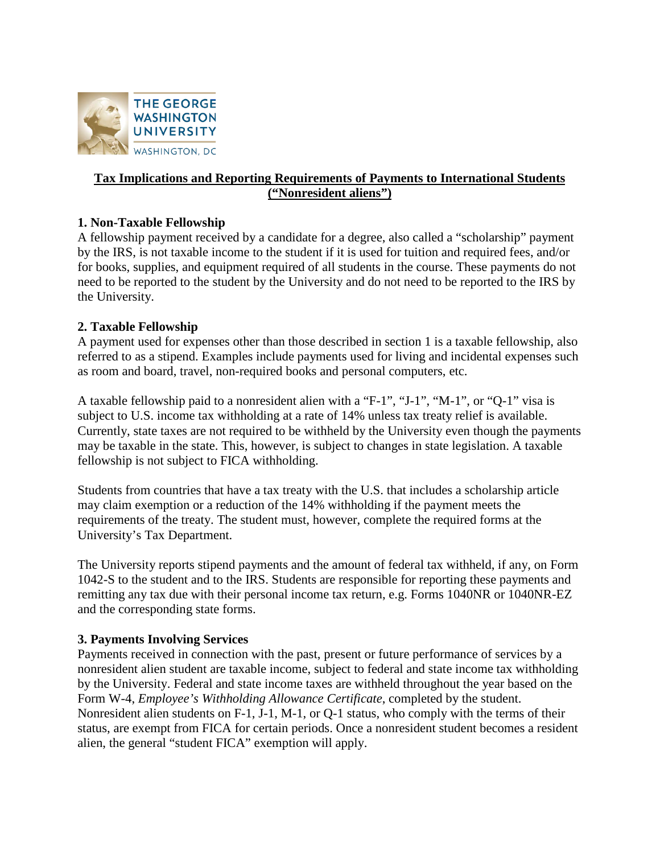

## **Tax Implications and Reporting Requirements of Payments to International Students ("Nonresident aliens")**

## **1. Non-Taxable Fellowship**

A fellowship payment received by a candidate for a degree, also called a "scholarship" payment by the IRS, is not taxable income to the student if it is used for tuition and required fees, and/or for books, supplies, and equipment required of all students in the course. These payments do not need to be reported to the student by the University and do not need to be reported to the IRS by the University.

## **2. Taxable Fellowship**

A payment used for expenses other than those described in section 1 is a taxable fellowship, also referred to as a stipend. Examples include payments used for living and incidental expenses such as room and board, travel, non-required books and personal computers, etc.

A taxable fellowship paid to a nonresident alien with a "F-1", "J-1", "M-1", or "Q-1" visa is subject to U.S. income tax withholding at a rate of 14% unless tax treaty relief is available. Currently, state taxes are not required to be withheld by the University even though the payments may be taxable in the state. This, however, is subject to changes in state legislation. A taxable fellowship is not subject to FICA withholding.

Students from countries that have a tax treaty with the U.S. that includes a scholarship article may claim exemption or a reduction of the 14% withholding if the payment meets the requirements of the treaty. The student must, however, complete the required forms at the University's Tax Department.

The University reports stipend payments and the amount of federal tax withheld, if any, on Form 1042-S to the student and to the IRS. Students are responsible for reporting these payments and remitting any tax due with their personal income tax return, e.g. Forms 1040NR or 1040NR-EZ and the corresponding state forms.

## **3. Payments Involving Services**

Payments received in connection with the past, present or future performance of services by a nonresident alien student are taxable income, subject to federal and state income tax withholding by the University. Federal and state income taxes are withheld throughout the year based on the Form W-4, *Employee's Withholding Allowance Certificate*, completed by the student. Nonresident alien students on F-1, J-1, M-1, or Q-1 status, who comply with the terms of their status, are exempt from FICA for certain periods. Once a nonresident student becomes a resident alien, the general "student FICA" exemption will apply.